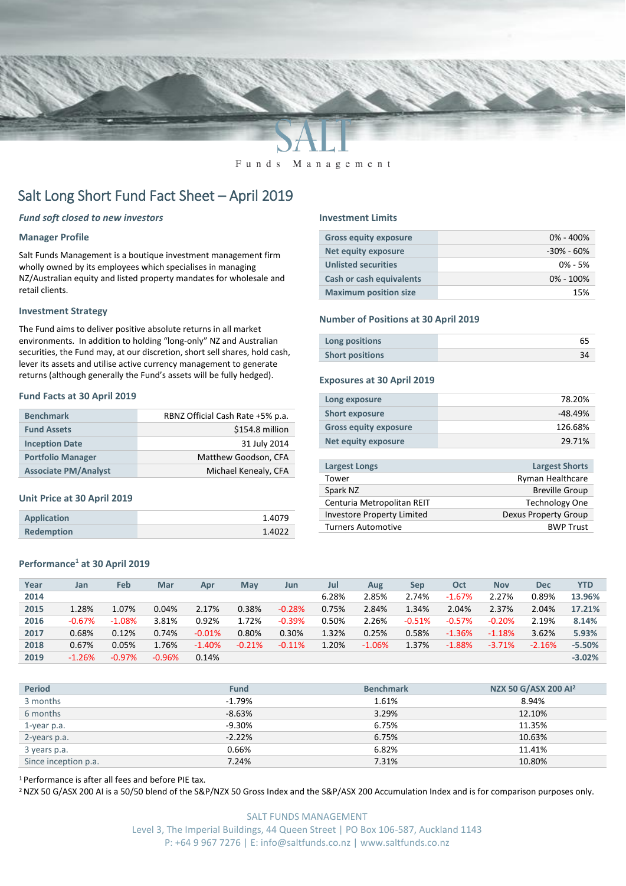

#### Funds Management

# Salt Long Short Fund Fact Sheet – April 2019

#### *Fund soft closed to new investors*

#### **Manager Profile**

Salt Funds Management is a boutique investment management firm wholly owned by its employees which specialises in managing NZ/Australian equity and listed property mandates for wholesale and retail clients.

#### **Investment Strategy**

The Fund aims to deliver positive absolute returns in all market environments. In addition to holding "long-only" NZ and Australian securities, the Fund may, at our discretion, short sell shares, hold cash, lever its assets and utilise active currency management to generate returns (although generally the Fund's assets will be fully hedged).

#### **Fund Facts at 30 April 2019**

| <b>Benchmark</b>            | RBNZ Official Cash Rate +5% p.a. |
|-----------------------------|----------------------------------|
| <b>Fund Assets</b>          | \$154.8 million                  |
| <b>Inception Date</b>       | 31 July 2014                     |
| <b>Portfolio Manager</b>    | Matthew Goodson, CFA             |
| <b>Associate PM/Analyst</b> | Michael Kenealy, CFA             |

#### **Unit Price at 30 April 2019**

| <b>Application</b> | 1.4079 |
|--------------------|--------|
| <b>Redemption</b>  | 1.4022 |

## **Performance<sup>1</sup> at 30 April 2019**

#### **Investment Limits**

| <b>Gross equity exposure</b>    | $0\% - 400\%$  |
|---------------------------------|----------------|
| Net equity exposure             | $-30\% - 60\%$ |
| <b>Unlisted securities</b>      | $0\% - 5\%$    |
| <b>Cash or cash equivalents</b> | $0\% - 100\%$  |
| <b>Maximum position size</b>    | 15%            |

#### **Number of Positions at 30 April 2019**

| Long positions         |  |
|------------------------|--|
| <b>Short positions</b> |  |

#### **Exposures at 30 April 2019**

| Long exposure                | 78.20%    |
|------------------------------|-----------|
| <b>Short exposure</b>        | $-48.49%$ |
| <b>Gross equity exposure</b> | 126.68%   |
| <b>Net equity exposure</b>   | 29.71%    |

| <b>Largest Longs</b>              | <b>Largest Shorts</b>   |
|-----------------------------------|-------------------------|
| Tower                             | <b>Ryman Healthcare</b> |
| Spark NZ                          | <b>Breville Group</b>   |
| Centuria Metropolitan REIT        | <b>Technology One</b>   |
| <b>Investore Property Limited</b> | Dexus Property Group    |
| <b>Turners Automotive</b>         | <b>BWP Trust</b>        |
|                                   |                         |

| Year | Jan      | Feb      | Mar      | Apr      | May      | Jun      | Jul   | Aug      | Sep      | Oct      | <b>Nov</b> | <b>Dec</b> | YTD      |
|------|----------|----------|----------|----------|----------|----------|-------|----------|----------|----------|------------|------------|----------|
| 2014 |          |          |          |          |          |          | 6.28% | 2.85%    | 2.74%    | $-1.67%$ | 2.27%      | 0.89%      | 13.96%   |
| 2015 | 1.28%    | 1.07%    | 0.04%    | 2.17%    | 0.38%    | $-0.28%$ | 0.75% | 2.84%    | 1.34%    | 2.04%    | 2.37%      | 2.04%      | 17.21%   |
| 2016 | $-0.67%$ | $-1.08%$ | 3.81%    | 0.92%    | 1.72%    | $-0.39%$ | 0.50% | 2.26%    | $-0.51%$ | $-0.57%$ | $-0.20%$   | 2.19%      | 8.14%    |
| 2017 | 0.68%    | 0.12%    | 0.74%    | $-0.01%$ | 0.80%    | 0.30%    | 1.32% | 0.25%    | 0.58%    | $-1.36%$ | $-1.18%$   | 3.62%      | 5.93%    |
| 2018 | 0.67%    | 0.05%    | 1.76%    | $-1.40%$ | $-0.21%$ | $-0.11%$ | 1.20% | $-1.06%$ | 1.37%    | $-1.88%$ | $-3.71%$   | $-2.16%$   | $-5.50%$ |
| 2019 | $-1.26%$ | $-0.97%$ | $-0.96%$ | 0.14%    |          |          |       |          |          |          |            |            | $-3.02%$ |
|      |          |          |          |          |          |          |       |          |          |          |            |            |          |

| <b>Period</b>        | <b>Fund</b> | <b>Benchmark</b> | NZX 50 G/ASX 200 Al <sup>2</sup> |
|----------------------|-------------|------------------|----------------------------------|
| 3 months             | $-1.79%$    | 1.61%            | 8.94%                            |
| 6 months             | $-8.63%$    | 3.29%            | 12.10%                           |
| 1-year p.a.          | $-9.30%$    | 6.75%            | 11.35%                           |
| 2-years p.a.         | $-2.22%$    | 6.75%            | 10.63%                           |
| 3 years p.a.         | 0.66%       | 6.82%            | 11.41%                           |
| Since inception p.a. | 7.24%       | 7.31%            | 10.80%                           |

<sup>1</sup> Performance is after all fees and before PIE tax.

<sup>2</sup> NZX 50 G/ASX 200 AI is a 50/50 blend of the S&P/NZX 50 Gross Index and the S&P/ASX 200 Accumulation Index and is for comparison purposes only.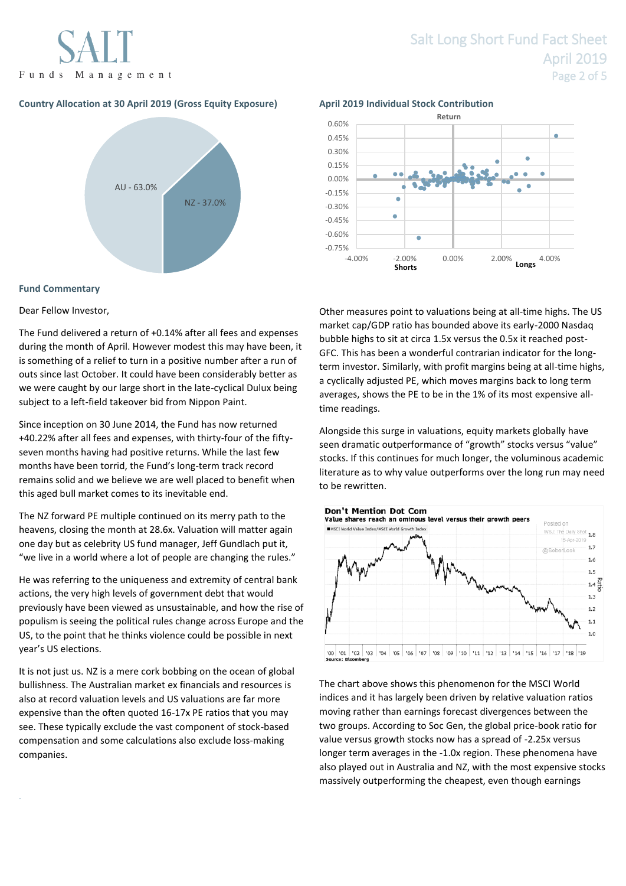Funds Management

## **Country Allocation at 30 April 2019 (Gross Equity Exposure) April 2019 Individual Stock Contribution**



#### **Fund Commentary**

.

Dear Fellow Investor,

The Fund delivered a return of +0.14% after all fees and expenses during the month of April. However modest this may have been, it is something of a relief to turn in a positive number after a run of outs since last October. It could have been considerably better as we were caught by our large short in the late-cyclical Dulux being subject to a left-field takeover bid from Nippon Paint.

Since inception on 30 June 2014, the Fund has now returned +40.22% after all fees and expenses, with thirty-four of the fiftyseven months having had positive returns. While the last few months have been torrid, the Fund's long-term track record remains solid and we believe we are well placed to benefit when this aged bull market comes to its inevitable end.

The NZ forward PE multiple continued on its merry path to the heavens, closing the month at 28.6x. Valuation will matter again one day but as celebrity US fund manager, Jeff Gundlach put it, "we live in a world where a lot of people are changing the rules."

He was referring to the uniqueness and extremity of central bank actions, the very high levels of government debt that would previously have been viewed as unsustainable, and how the rise of populism is seeing the political rules change across Europe and the US, to the point that he thinks violence could be possible in next year's US elections.

It is not just us. NZ is a mere cork bobbing on the ocean of global bullishness. The Australian market ex financials and resources is also at record valuation levels and US valuations are far more expensive than the often quoted 16-17x PE ratios that you may see. These typically exclude the vast component of stock-based compensation and some calculations also exclude loss-making companies.



Other measures point to valuations being at all-time highs. The US market cap/GDP ratio has bounded above its early-2000 Nasdaq bubble highs to sit at circa 1.5x versus the 0.5x it reached post-GFC. This has been a wonderful contrarian indicator for the longterm investor. Similarly, with profit margins being at all-time highs, a cyclically adjusted PE, which moves margins back to long term averages, shows the PE to be in the 1% of its most expensive alltime readings.

Alongside this surge in valuations, equity markets globally have seen dramatic outperformance of "growth" stocks versus "value" stocks. If this continues for much longer, the voluminous academic literature as to why value outperforms over the long run may need to be rewritten.



The chart above shows this phenomenon for the MSCI World indices and it has largely been driven by relative valuation ratios moving rather than earnings forecast divergences between the two groups. According to Soc Gen, the global price-book ratio for value versus growth stocks now has a spread of -2.25x versus longer term averages in the -1.0x region. These phenomena have also played out in Australia and NZ, with the most expensive stocks massively outperforming the cheapest, even though earnings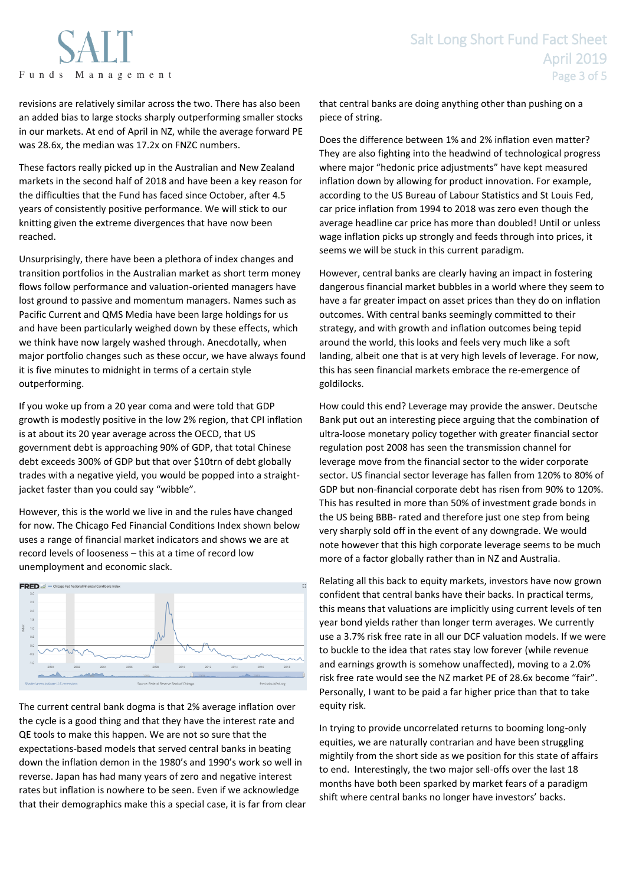

revisions are relatively similar across the two. There has also been an added bias to large stocks sharply outperforming smaller stocks in our markets. At end of April in NZ, while the average forward PE was 28.6x, the median was 17.2x on FNZC numbers.

These factors really picked up in the Australian and New Zealand markets in the second half of 2018 and have been a key reason for the difficulties that the Fund has faced since October, after 4.5 years of consistently positive performance. We will stick to our knitting given the extreme divergences that have now been reached.

Unsurprisingly, there have been a plethora of index changes and transition portfolios in the Australian market as short term money flows follow performance and valuation-oriented managers have lost ground to passive and momentum managers. Names such as Pacific Current and QMS Media have been large holdings for us and have been particularly weighed down by these effects, which we think have now largely washed through. Anecdotally, when major portfolio changes such as these occur, we have always found it is five minutes to midnight in terms of a certain style outperforming.

If you woke up from a 20 year coma and were told that GDP growth is modestly positive in the low 2% region, that CPI inflation is at about its 20 year average across the OECD, that US government debt is approaching 90% of GDP, that total Chinese debt exceeds 300% of GDP but that over \$10trn of debt globally trades with a negative yield, you would be popped into a straightjacket faster than you could say "wibble".

However, this is the world we live in and the rules have changed for now. The Chicago Fed Financial Conditions Index shown below uses a range of financial market indicators and shows we are at record levels of looseness – this at a time of record low unemployment and economic slack.



The current central bank dogma is that 2% average inflation over the cycle is a good thing and that they have the interest rate and QE tools to make this happen. We are not so sure that the expectations-based models that served central banks in beating down the inflation demon in the 1980's and 1990's work so well in reverse. Japan has had many years of zero and negative interest rates but inflation is nowhere to be seen. Even if we acknowledge that their demographics make this a special case, it is far from clear that central banks are doing anything other than pushing on a piece of string.

Does the difference between 1% and 2% inflation even matter? They are also fighting into the headwind of technological progress where major "hedonic price adjustments" have kept measured inflation down by allowing for product innovation. For example, according to the US Bureau of Labour Statistics and St Louis Fed, car price inflation from 1994 to 2018 was zero even though the average headline car price has more than doubled! Until or unless wage inflation picks up strongly and feeds through into prices, it seems we will be stuck in this current paradigm.

However, central banks are clearly having an impact in fostering dangerous financial market bubbles in a world where they seem to have a far greater impact on asset prices than they do on inflation outcomes. With central banks seemingly committed to their strategy, and with growth and inflation outcomes being tepid around the world, this looks and feels very much like a soft landing, albeit one that is at very high levels of leverage. For now, this has seen financial markets embrace the re-emergence of goldilocks.

How could this end? Leverage may provide the answer. Deutsche Bank put out an interesting piece arguing that the combination of ultra-loose monetary policy together with greater financial sector regulation post 2008 has seen the transmission channel for leverage move from the financial sector to the wider corporate sector. US financial sector leverage has fallen from 120% to 80% of GDP but non-financial corporate debt has risen from 90% to 120%. This has resulted in more than 50% of investment grade bonds in the US being BBB- rated and therefore just one step from being very sharply sold off in the event of any downgrade. We would note however that this high corporate leverage seems to be much more of a factor globally rather than in NZ and Australia.

Relating all this back to equity markets, investors have now grown confident that central banks have their backs. In practical terms, this means that valuations are implicitly using current levels of ten year bond yields rather than longer term averages. We currently use a 3.7% risk free rate in all our DCF valuation models. If we were to buckle to the idea that rates stay low forever (while revenue and earnings growth is somehow unaffected), moving to a 2.0% risk free rate would see the NZ market PE of 28.6x become "fair". Personally, I want to be paid a far higher price than that to take equity risk.

In trying to provide uncorrelated returns to booming long-only equities, we are naturally contrarian and have been struggling mightily from the short side as we position for this state of affairs to end. Interestingly, the two major sell-offs over the last 18 months have both been sparked by market fears of a paradigm shift where central banks no longer have investors' backs.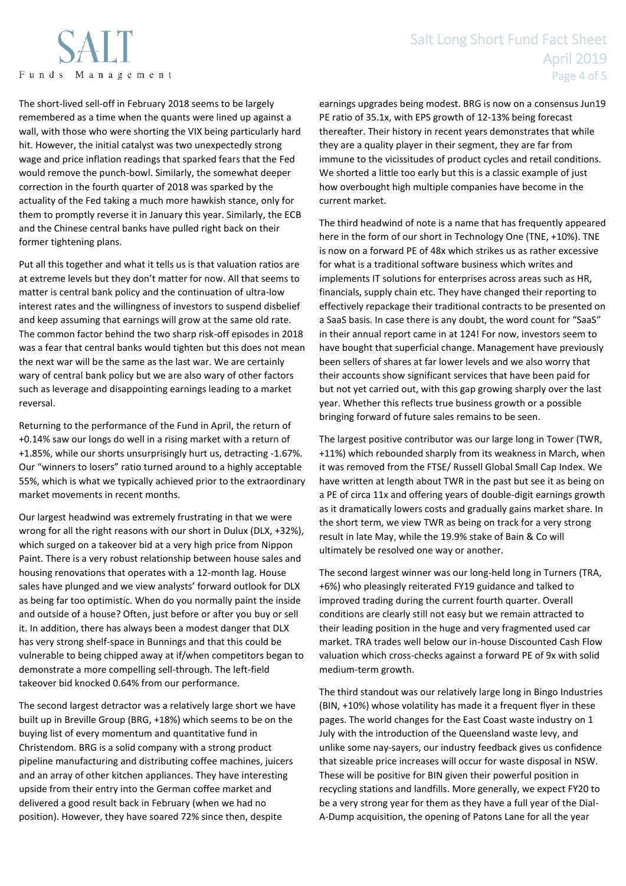

The short-lived sell-off in February 2018 seems to be largely remembered as a time when the quants were lined up against a wall, with those who were shorting the VIX being particularly hard hit. However, the initial catalyst was two unexpectedly strong wage and price inflation readings that sparked fears that the Fed would remove the punch-bowl. Similarly, the somewhat deeper correction in the fourth quarter of 2018 was sparked by the actuality of the Fed taking a much more hawkish stance, only for them to promptly reverse it in January this year. Similarly, the ECB and the Chinese central banks have pulled right back on their former tightening plans.

Put all this together and what it tells us is that valuation ratios are at extreme levels but they don't matter for now. All that seems to matter is central bank policy and the continuation of ultra-low interest rates and the willingness of investors to suspend disbelief and keep assuming that earnings will grow at the same old rate. The common factor behind the two sharp risk-off episodes in 2018 was a fear that central banks would tighten but this does not mean the next war will be the same as the last war. We are certainly wary of central bank policy but we are also wary of other factors such as leverage and disappointing earnings leading to a market reversal.

Returning to the performance of the Fund in April, the return of +0.14% saw our longs do well in a rising market with a return of +1.85%, while our shorts unsurprisingly hurt us, detracting -1.67%. Our "winners to losers" ratio turned around to a highly acceptable 55%, which is what we typically achieved prior to the extraordinary market movements in recent months.

Our largest headwind was extremely frustrating in that we were wrong for all the right reasons with our short in Dulux (DLX, +32%), which surged on a takeover bid at a very high price from Nippon Paint. There is a very robust relationship between house sales and housing renovations that operates with a 12-month lag. House sales have plunged and we view analysts' forward outlook for DLX as being far too optimistic. When do you normally paint the inside and outside of a house? Often, just before or after you buy or sell it. In addition, there has always been a modest danger that DLX has very strong shelf-space in Bunnings and that this could be vulnerable to being chipped away at if/when competitors began to demonstrate a more compelling sell-through. The left-field takeover bid knocked 0.64% from our performance.

The second largest detractor was a relatively large short we have built up in Breville Group (BRG, +18%) which seems to be on the buying list of every momentum and quantitative fund in Christendom. BRG is a solid company with a strong product pipeline manufacturing and distributing coffee machines, juicers and an array of other kitchen appliances. They have interesting upside from their entry into the German coffee market and delivered a good result back in February (when we had no position). However, they have soared 72% since then, despite

earnings upgrades being modest. BRG is now on a consensus Jun19 PE ratio of 35.1x, with EPS growth of 12-13% being forecast thereafter. Their history in recent years demonstrates that while they are a quality player in their segment, they are far from immune to the vicissitudes of product cycles and retail conditions. We shorted a little too early but this is a classic example of just how overbought high multiple companies have become in the current market.

The third headwind of note is a name that has frequently appeared here in the form of our short in Technology One (TNE, +10%). TNE is now on a forward PE of 48x which strikes us as rather excessive for what is a traditional software business which writes and implements IT solutions for enterprises across areas such as HR, financials, supply chain etc. They have changed their reporting to effectively repackage their traditional contracts to be presented on a SaaS basis. In case there is any doubt, the word count for "SaaS" in their annual report came in at 124! For now, investors seem to have bought that superficial change. Management have previously been sellers of shares at far lower levels and we also worry that their accounts show significant services that have been paid for but not yet carried out, with this gap growing sharply over the last year. Whether this reflects true business growth or a possible bringing forward of future sales remains to be seen.

The largest positive contributor was our large long in Tower (TWR, +11%) which rebounded sharply from its weakness in March, when it was removed from the FTSE/ Russell Global Small Cap Index. We have written at length about TWR in the past but see it as being on a PE of circa 11x and offering years of double-digit earnings growth as it dramatically lowers costs and gradually gains market share. In the short term, we view TWR as being on track for a very strong result in late May, while the 19.9% stake of Bain & Co will ultimately be resolved one way or another.

The second largest winner was our long-held long in Turners (TRA, +6%) who pleasingly reiterated FY19 guidance and talked to improved trading during the current fourth quarter. Overall conditions are clearly still not easy but we remain attracted to their leading position in the huge and very fragmented used car market. TRA trades well below our in-house Discounted Cash Flow valuation which cross-checks against a forward PE of 9x with solid medium-term growth.

The third standout was our relatively large long in Bingo Industries (BIN, +10%) whose volatility has made it a frequent flyer in these pages. The world changes for the East Coast waste industry on 1 July with the introduction of the Queensland waste levy, and unlike some nay-sayers, our industry feedback gives us confidence that sizeable price increases will occur for waste disposal in NSW. These will be positive for BIN given their powerful position in recycling stations and landfills. More generally, we expect FY20 to be a very strong year for them as they have a full year of the Dial-A-Dump acquisition, the opening of Patons Lane for all the year